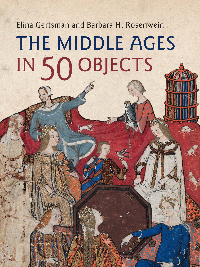# Elina Gertsman and Barbara H. Rosenwein THE MIDDLE AGES IN 50 OBJECTS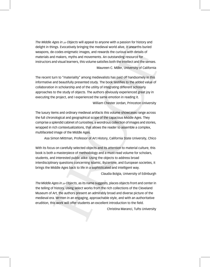The Middle Ages in  $50$  Objects will appeal to anyone with a passion for history and delight in things. Evocatively bringing the medieval world alive, it unearths buried weapons, de-codes enigmatic images, and rewards the curious with details of materials and makers, myths and movements. An outstanding resource for instructors and visual learners, this volume satisfies both the intellect and the senses.

#### Maureen C. Miller, University of California

The recent turn to "materiality" among medievalists has paid off handsomely in this informative and beautifully presented study. The book testifies to the added value of collaboration in scholarship and of the utility of integrating different scholarly approaches to the study of objects. The authors obviously experienced great joy in executing the project, and I experienced the same emotion in reading it.

William Chester Jordan, Princeton University

The luxury items and ordinary medieval artifacts this volume showcases range across the full chronological and geographical scope of the capacious Middle Ages. They comprise a splendid cabinet of curiosities, a wondrous collection of images and stories, wrapped in rich contextualizations, that allows the reader to assemble a complex, multifaceted image of the Middle Ages.

Asa Simon Mittman, Professor of Art History, California State University, Chico

With its focus on carefully selected objects and its attention to material culture, this book is both a masterpiece of methodology and a must-read volume for scholars, students, and interested public alike. Using the objects to address broad interdisciplinary questions concerning Islamic, Byzantine, and European societies, it brings the Middle Ages back to life in a sophisticated and intelligent way.

Claudia Bolgia, University of Edinburgh

The Middle Ages in  $50$  Objects, as its name suggests, places objects front and center in the telling of history. Using select works from the rich collections of the Cleveland Museum of Art, the authors present an admirably broad and diverse picture of the medieval era. Written in an engaging, approachable style, and with an authoritative erudition, this work will offer students an excellent introduction to the field.

Christina Maranci, Tufts University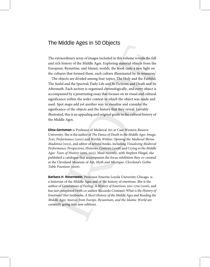## The Middle Ages in 50 Objects

The extraordinary array of images included in this volume reveals the full and rich history of the Middle Ages. Exploring material objects from the European, Byzantine, and Islamic worlds, the book casts a new light on the cultures that formed them, each culture illuminated by its treasures.

The objects are divided among four topics: The Holy and the Faithful; The Sinful and the Spectral; Daily Life and Its Fictions; and Death and Its Aftermath. Each section is organized chronologically, and every object is accompanied by a penetrating essay that focuses on its visual and cultural significance within the wider context in which the object was made and used. Spot maps add yet another way to visualize and consider the significance of the objects and the history that they reveal. Lavishly illustrated, this is an appealing and original guide to the cultural history of the Middle Ages.

Elina Gertsman is Professor of Medieval Art at Case Western Reserve University. She is the author of The Dance of Death in the Middle Ages: Image, Text, Performance (2010) and Worlds Within: Opening the Medieval Shrine Madonna (2015), and editor of several books, including Visualizing Medieval Performance: Perspectives, Histories, Contexts (2008) and Crying in the Middle Ages: Tears of History (2011, 2013). Most recently, with Stephen Fliegel, she published a catalogue that accompanies the focus exhibition they co-curated at the Cleveland Museum of Art, Myth and Mystique: Cleveland's Gothic Table Fountain (2016).

Barbara H. Rosenwein, Professor Emerita Loyola University Chicago, is a historian of the Middle Ages and of the history of emotions. She is the author of Generations of Feeling: A History of Emotions, 600–1700 (2016), and has just completed (with co-author Riccardo Cristiani) What is the History of Emotions? Her textbooks, A Short History of the Middle Ages and Reading the Middle Ages: Sources from Europe, Byzantium, and the Islamic World are currently going into new editions.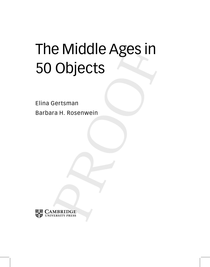# The Middle Ages in 50 Objects

Elina Gertsman Barbara H. Rosenwein

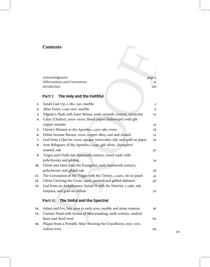## **Contents**

|     | Acknowledgments<br>Abbreviations and Conventions                     | page x<br>xi |
|-----|----------------------------------------------------------------------|--------------|
|     | <i>Introduction</i>                                                  | xiii         |
|     |                                                                      |              |
|     | The Holy and the Faithful<br>Part I:                                 |              |
| 1.  | Jonah Cast Up, c.280-290, marble                                     | $\mathbf{2}$ |
| 2.  | Altar Front, c.540-600, marble                                       | 6            |
| 3.  | Pilgrim's Flask with Saint Menas, sixth-seventh century, terracotta  | 10           |
| 4.  | Calyx (Chalice), 900s-1000s, blood jasper (heliotrope) with gilt-    |              |
|     | copper mounts                                                        | 14           |
| 5.  | Christ's Mission to the Apostles, c.970-980, ivory                   | 18           |
| 6.  | Feline Incense Burner, 1100s, copper alloy, cast and chased          | 22           |
| 7.  | Leaf from a Qur'an, 1100s, opaque watercolor, ink, and gold on paper | 26           |
| 8.  | Arm Reliquary of the Apostles, c.1190, gilt-silver, champlevé        |              |
|     | enamel, oak                                                          | 30           |
| 9.  | Virgin and Child, late thirteenth century, wood (oak) with           |              |
|     | polychromy and gilding                                               | 34           |
| 10. | Christ and Saint John the Evangelist, early fourteenth century,      |              |
|     | polychromy and gilded oak                                            | 38           |
| 11. | The Coronation of the Virgin with the Trinity, c.1400, oil on panel  | 42           |
| 12. | Christ Carrying the Cross, 1400s, painted and gilded alabaster       | 46           |
| 13. | Leaf from an Antiphonary: Initial H with the Nativity, c.1480, ink,  |              |
|     | tempera, and gold on vellum                                          | 50           |
|     |                                                                      |              |
|     | The Sinful and the Spectral<br>Part II:                              |              |
| 14. | Adam and Eve, late 400s to early 500s, marble and stone tesserae     | 56           |
| 15. | Curtain Panel with Scenes of Merrymaking, sixth century, undyed      |              |
|     | linen and dyed wool                                                  | 60           |
| 16. | Plaque from a Portable Altar Showing the Crucifixion, 1050-1100,     |              |
|     | walrus ivory                                                         | 64           |
|     |                                                                      |              |

vii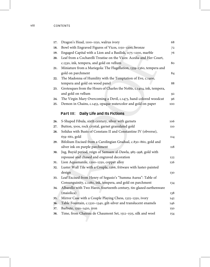| 17. | Dragon's Head, 1100-1150, walrus ivory                                | 68  |
|-----|-----------------------------------------------------------------------|-----|
| 18. | Bowl with Engraved Figures of Vices, 1150-1200, bronze                | 72  |
| 19. | Engaged Capital with a Lion and a Basilisk, 1175-1200, marble         | 76  |
| 20. | Leaf from a Cocharelli Treatise on the Vices: Acedia and Her Court,   |     |
|     | c.1330, ink, tempera, and gold on vellum                              | 80  |
| 21. | Miniature from a Mariegola: The Flagellation, 1359-1360, tempera and  |     |
|     | gold on parchment                                                     | 84  |
| 22. | The Madonna of Humility with the Temptation of Eve, c.1400,           |     |
|     | tempera and gold on wood panel                                        | 88  |
| 23. | Grotesques from the Hours of Charles the Noble, c.1404, ink, tempera, |     |
|     | and gold on vellum                                                    | 92  |
| 24. | The Virgin Mary Overcoming a Devil, c.1473, hand-colored woodcut      | 96  |
| 25. | Demon in Chains, c.1453, opaque watercolor and gold on paper          | 100 |
|     |                                                                       |     |
|     | <b>Daily Life and Its Fictions</b><br>Part III:                       |     |
| 26. | S-Shaped Fibula, sixth century, silver with garnets                   | 106 |
| 27. | Button, 500s, rock crystal, garnet granulated gold                    | 110 |
| 28. | Solidus with Busts of Constans II and Constantine IV (obverse),       |     |
|     | 659-661, gold                                                         | 114 |
| 29. | Bifolium Excised from a Carolingian Gradual, c.830-860, gold and      |     |
|     | silver ink on purple parchment                                        | 118 |
| 30. | Jug, Buyid period, reign of Samsam al-Dawla, 985-998, gold with       |     |
|     | repoussé and chased and engraved decoration                           | 122 |
| 31. | Lion Aquamanile, 1200-1250, copper alloy                              | 126 |
| 32. | Luster Wall Tile with a Couple, 1266, fritware with luster-painted    |     |
|     | design                                                                | 130 |
| 33. | Leaf Excised from Henry of Segusio's "Summa Aurea": Table of          |     |
|     | Consanguinity, c.1280, ink, tempera, and gold on parchment            | 134 |
| 34. | Albarello with Two Hares, fourteenth century, tin-glazed earthenware  |     |
|     | (maiolica)                                                            | 138 |
| 35. | Mirror Case with a Couple Playing Chess, 1325-1350, ivory             | 142 |
| 36. | Table Fountain, c.1320-1340, gilt-silver and translucent enamels      | 146 |
| 37. | Barbute, 1350-1420, iron                                              | 150 |
| 38. | Time, from Chateau de Chaumont Set, 1512-1515, silk and wool          | 154 |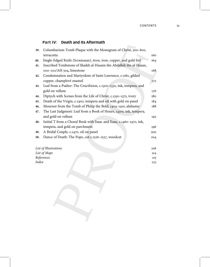### Part IV: Death and Its Aftermath

| 39. | Columbarium Tomb Plaque with the Monogram of Christ, 500-800,        |     |
|-----|----------------------------------------------------------------------|-----|
|     | terracotta                                                           | 160 |
| 40. | Single-Edged Knife (Scramasax), 600s, iron, copper, and gold foil    | 164 |
| 41. | Inscribed Tombstone of Shaikh al-Husain ibn Abdallah ibn al-Hasan,   |     |
|     | 1110-1111/AH 504, limestone                                          | 168 |
| 42. | Condemnation and Martyrdom of Saint Lawrence, c.1180, gilded         |     |
|     | copper, champlevé enamel                                             | 172 |
| 43. | Leaf from a Psalter: The Crucifixion, c.1300-1330, ink, tempera, and |     |
|     | gold on vellum                                                       | 176 |
| 44. | Diptych with Scenes from the Life of Christ, c.1350-1375, ivory      | 180 |
| 45. | Death of the Virgin, c.1400, tempera and oil with gold on panel      | 184 |
| 46. | Mourner from the Tomb of Philip the Bold, 1404-1410, alabaster       | 188 |
| 47. | The Last Judgment: Leaf from a Book of Hours, 1430s, ink, tempera,   |     |
|     | and gold on vellum                                                   | 192 |
| 48. | Initial T from a Choral Book with Isaac and Esau, c.1460-1470, ink,  |     |
|     | tempera, and gold on parchment                                       | 196 |
| 49. | A Bridal Couple, c.1470, oil on panel                                | 200 |
| 50. | Dance of Death: The Pope, cut c.1526-1527, woodcut                   | 204 |
|     |                                                                      |     |
|     | List of Illustrations                                                |     |
|     | List of Maps                                                         |     |
|     | References                                                           |     |
|     | Index                                                                |     |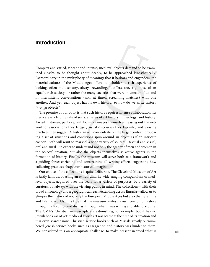### Introduction

Complex and varied, vibrant and intense, medieval objects demand to be examined closely, to be thought about deeply, to be approached kinesthetically. Extraordinary in the multiplicity of meanings that it harbors and engenders, the material culture of the Middle Ages offers its beholders a rich experience of looking, often multisensory, always rewarding. It offers, too, a glimpse of an equally rich society, or rather the many societies that were in constant flux and in intermittent conversations (and, at times, screaming matches) with one another. And yet, each object has its own history. So how do we write history through objects?

The premise of our book is that such history requires intense collaboration. Its predicate is a triumvirate of sorts: a nexus of art history, museology, and history. An art historian, perforce, will focus on images themselves, teasing out the network of associations they trigger, visual discourses they tap into, and viewing practices they suggest. A historian will concentrate on the larger context, proposing a set of situations and conditions spun around an object as if an intricate cocoon. Both will want to marshal a wide variety of sources—textual and visual, oral and aural—in order to understand not only the agency of men and women in the objects' creation, but also the objects themselves as active agents in the formation of history. Finally, the museum will serve both as a framework and a guiding force: enriching and constraining all writing efforts, suggesting how collecting practices shape our historical imagination.

Our choice of the collections is quite deliberate. The Cleveland Museum of Art is justly famous, boasting an extraordinarily wide-ranging compendium of medieval objects, acquired over the years for a variety of purposes, by a variety of curators, but always with the viewing public in mind. The collections—with their broad chronology and a geographical reach extending across Eurasia—allow us to glimpse the history of not only the European Middle Ages but also the Byzantine and Islamic worlds. It is true that the museum writes its own version of history through its holdings and display, through what it was willing and able to acquire. The CMA's Christian manuscripts are astonishing, for example, but it has no Jewish books as of yet: medieval Jewish art was scarce at the time of its creation and it is even scarcer now; Christian service books such as Missals greatly outnumbered Jewish service books such as Haggadot, and history was kinder to them. We considered this an appropriate challenge: to make present in word what is  $x_{\text{ii}}$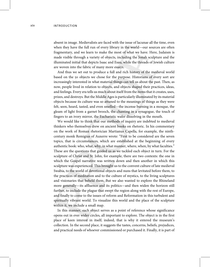absent in image. Medievalists are faced with the issue of lacunae all the time, even when they have the full run of every library in the world—our sources are often fragmentary, and we learn to make the most of what we have. Here, Judaism is made visible through a variety of objects, including the Jonah sculpture and the illuminated initial that depicts Isaac and Esau, while the threads of Jewish culture are woven into the fabric of many more essays.

And thus we set out to produce a full and rich history of the medieval world based on the 50 objects we chose for the purpose. Historians of every sort are increasingly interested in what material things can tell us about the past. Then, as now, people lived in relation to objects, and objects shaped their practices, ideas, and feelings. Every era tells us much about itself from the items that it creates, uses, prizes, and destroys. But the Middle Ages is particularly illuminated by its material objects because its culture was so attuned to the meanings of things as they were felt, seen, heard, tasted, and even smelled—the incense burning in a mosque, the gleam of light from a garnet brooch, the chanting in a synagogue, the touch of fingers to an ivory mirror, the Eucharistic wafer dissolving in the mouth.

We would like to think that our methods of inquiry are indebted to medieval thinkers who themselves drew on ancient books on rhetoric. In his commentary on the work of Roman rhetorician Martianus Capella, for example, the ninthcentury monk Remigius of Auxerre wrote: "First to be considered are the seven topics, that is circumstances, which are established at the beginning of every authentic book: who, what, why, in what manner, where, when, by what faculties." These are the questions that guided us as we tackled each object in turn. For the sculpture of Christ and St. John, for example, there are two contexts: the one in which the Gospel narrative was written down and then another in which this sculpture was experienced. This brought us to the convent culture of late medieval Swabia, to the world of devotional objects and nuns that levitated before them, to the practices of meditation and to the culture of mystics, to the living sculptures and visionaries that beheld them. But we also wanted to explore the Rhineland more generally—its affluence and its politics—and then widen the horizon still further, to include the plague that swept the region along with the rest of Europe, and finally to come to the issues of reform and Reformation in this turbulent and spiritually vibrant world. To visualize this world and the place of the sculpture within it, we include a small map.

In this manner, each object serves as a point of reference whose significance opens out in ever wider circles, all important to explore. The object is in the first place of keen interest in itself; indeed, that is why it entered the museum's collection. In the second place, it suggests the tastes, concerns, beliefs, prejudices, and practical needs of whoever commissioned or purchased it. Finally, it is part of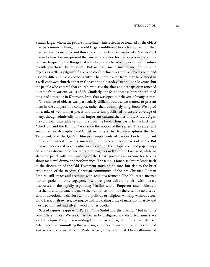a much larger whole: the people immediately interested in or touched by the object may be a minority living in a world largely indifferent to such an object; or they may represent a majority and thus speak for nearly an entire society. Medieval art may—it often does—represent the concerns of elites, for the objects made for the rich are frequently the things that were kept and cherished over time and subsequently purchased by museums. But we have made sure to include non-elite objects as well—a pilgrim's flask, a soldier's helmet—as well as objects seen and used by different classes concurrently. The marble altar front may have stood in a well-endowed church either in Constantinople (today Istanbul) or Ravenna, but the people who entered that church, who saw the altar and perhaps even touched it, came from various walks of life. Similarly, the feline incense burner perfumed the air of a mosque in Khurasan, Iran, that was open to believers of many estates.

The choice of objects was particularly difficult because we wanted to present them in the compass of a compact, rather than dauntingly long, book. We opted for a mix of well-known pieces and those less published to ensure coverage of many, though admittedly not all, important cultural themes of the Middle Ages; the sum total thus adds up to more than the book's four parts. In the first part, "The Holy and the Faithful," we tackle the notion of the sacred. The reader will encounter Jewish prophets and Christian martyrs; the Hebrew scriptures, the New Testament, and the Qur'an; liturgical implements of various kinds; indignant monks and earnest pilgrims; images of the divine and body parts of saints. But then we endeavored to knit entire worlds around those topics: a blood jasper calyx occasions a discussion of medicine and magic as well as of the Eucharist, while an alabaster panel with the Carrying of the Cross provides an avenue for talking about medieval drama and performance. The famous Jonah sculpture lends itself to the discussion of the Old Testament story, to be sure, but also to the brief exploration of the nascent Christian community of the pre-Christian Roman Empire, still intact and seething with religious ferment. The Khurasan incense burner sparks not only engagement with religious culture but also with literary discourses of the rapidly expanding Muslim world. Emperors and noblemen, merchants and bureaucrats make their entrance, too—for there can be no discussion of devotional behaviors without politics, or religious worship without economy. Here, as elsewhere, we engage with a dazzling array of materials: marble and ivory, parchment and silver, wood and terracotta.

Sacred figures reappear in Part II, "The Sinful and the Spectral," but in some very different roles. We see Christ beaten by disfigured and distorted sinners; we see the Virgin Mary in resounding triumph over Original Sin. But we also see Adam and Eve committing this very sin, and, indeed, an entire set of personified sins arrayed on a metal bowl: Pride, Anger, Envy, and Lust. On an illuminated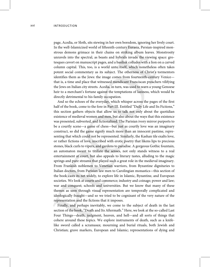page, Acedia, or Sloth, sits stewing in her own boredom, ignoring her lively court. In the well-Islamicized world of fifteenth-century Eurasia, Persian-inspired monstrous demons grimace in their chains on striking album leaves. Monstrosity unravels into the spectral, as beasts and hybrids invade the viewing space: grotesques cavort on manuscript pages, and a basilisk colludes with a lion on a carved column capital. This, too, is a world unto itself, which nonetheless often takes potent social commentary as its subject. The otherness of Christ's tormentors identifies them as the Jews: the image comes from fourteenth-century Venice that is, a time and place that witnessed mendicant Franciscan preachers vilifying the Jews on Italian city streets. Acedia, in turn, was used to warn a young Genoese heir to a merchant's fortune against the temptations of laziness, which would be directly detrimental to his family occupation.

And so the echoes of the everyday, which whisper across the pages of the first half of the book, come to the fore in Part III. Entitled "Daily Life and Its Fictions," this section gathers objects that allow us to talk not only about the quotidian existence of medieval women and men, but also about the ways that this existence was presented, subverted, and fictionalized. The Parisian ivory mirror purports to be a courtly scene—a game of chess—but just as courtly love was an imaginary construct, so did the game signify much more than an innocent pastime, representing that which could not be represented. Similarly, the Kashan tile exalts love, or rather fictions of love, inscribed with erotic poetry that likens lips to precious stones, black curls to vipers, and gardens to paradise. A gorgeous Gothic fountain, an automaton meant to titillate the senses, not only stands witness to a real entertainment at court, but also appeals to literary tastes, alluding to the magic springs and pure streams that played such a great role in the medieval imaginary. From Frankish noblemen to Venetian warriors, from Byzantine dignitaries to Italian doctors, from Parisian law men to Carolingian monastics—this section of the book casts its net widely, to explore life in Islamic, Byzantine, and European societies. We look at courts and commerce; industry and coinage; power and law; war and conquest; schools and universities. But we know that many of these themes as seen through visual representation are temporally complicated and ideologically fraught—and so we tried to be cognizant of the very nature of the representation and the fictions that it imposes.

Finally, and perhaps inevitably, we come to the subject of death in the last section of the book, "Death and Its Aftermath." Here, we look at the so-called Last Four Things—death, judgment, heaven, and hell—and all sorts of things that cohere around these topics. We explore instruments of death, such as a knifelike sword called a scramasax; mourning and burial rituals, both Jewish and Christian; grave markers, European and Islamic; representations of dying and